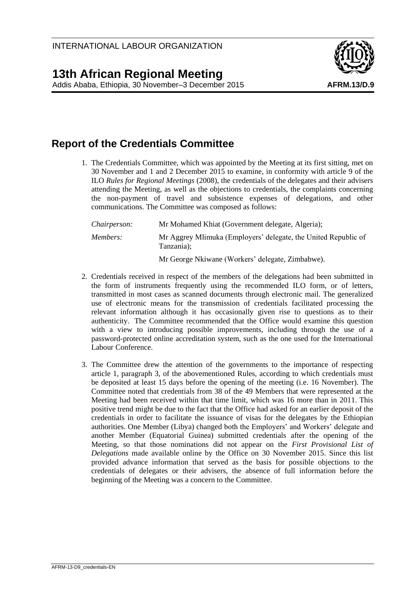

# **13th African Regional Meeting**

Addis Ababa, Ethiopia, 30 November–3 December 2015 **AFRM.13/D.9**

## **Report of the Credentials Committee**

1. The Credentials Committee, which was appointed by the Meeting at its first sitting, met on 30 November and 1 and 2 December 2015 to examine, in conformity with article 9 of the ILO *Rules for Regional Meetings* (2008), the credentials of the delegates and their advisers attending the Meeting, as well as the objections to credentials, the complaints concerning the non-payment of travel and subsistence expenses of delegations, and other communications. The Committee was composed as follows:

| <i>Chairperson:</i> | Mr Mohamed Khiat (Government delegate, Algeria);                             |
|---------------------|------------------------------------------------------------------------------|
| Members:            | Mr Aggrey Mlimuka (Employers' delegate, the United Republic of<br>Tanzania); |
|                     | Mr George Nkiwane (Workers' delegate, Zimbabwe).                             |

- 2. Credentials received in respect of the members of the delegations had been submitted in the form of instruments frequently using the recommended ILO form, or of letters, transmitted in most cases as scanned documents through electronic mail. The generalized use of electronic means for the transmission of credentials facilitated processing the relevant information although it has occasionally given rise to questions as to their authenticity. The Committee recommended that the Office would examine this question with a view to introducing possible improvements, including through the use of a password-protected online accreditation system, such as the one used for the International Labour Conference.
- 3. The Committee drew the attention of the governments to the importance of respecting article 1, paragraph 3, of the abovementioned Rules, according to which credentials must be deposited at least 15 days before the opening of the meeting (i.e. 16 November). The Committee noted that credentials from 38 of the 49 Members that were represented at the Meeting had been received within that time limit, which was 16 more than in 2011. This positive trend might be due to the fact that the Office had asked for an earlier deposit of the credentials in order to facilitate the issuance of visas for the delegates by the Ethiopian authorities. One Member (Libya) changed both the Employers' and Workers' delegate and another Member (Equatorial Guinea) submitted credentials after the opening of the Meeting, so that those nominations did not appear on the *First Provisional List of Delegations* made available online by the Office on 30 November 2015. Since this list provided advance information that served as the basis for possible objections to the credentials of delegates or their advisers, the absence of full information before the beginning of the Meeting was a concern to the Committee.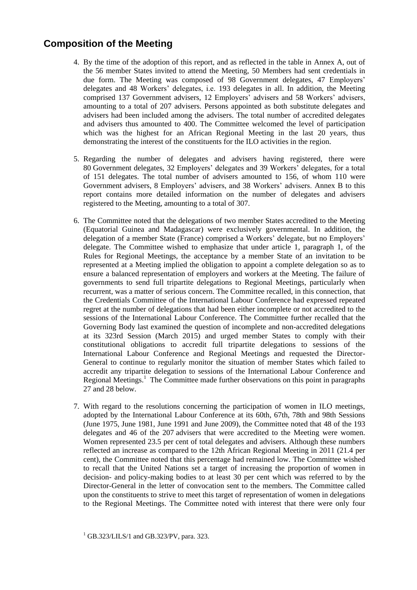### **Composition of the Meeting**

- 4. By the time of the adoption of this report, and as reflected in the table in Annex A, out of the 56 member States invited to attend the Meeting, 50 Members had sent credentials in due form. The Meeting was composed of 98 Government delegates, 47 Employers' delegates and 48 Workers' delegates, i.e. 193 delegates in all. In addition, the Meeting comprised 137 Government advisers, 12 Employers' advisers and 58 Workers' advisers, amounting to a total of 207 advisers. Persons appointed as both substitute delegates and advisers had been included among the advisers. The total number of accredited delegates and advisers thus amounted to 400. The Committee welcomed the level of participation which was the highest for an African Regional Meeting in the last 20 years, thus demonstrating the interest of the constituents for the ILO activities in the region.
- 5. Regarding the number of delegates and advisers having registered, there were 80 Government delegates, 32 Employers' delegates and 39 Workers' delegates, for a total of 151 delegates. The total number of advisers amounted to 156, of whom 110 were Government advisers, 8 Employers' advisers, and 38 Workers' advisers. Annex B to this report contains more detailed information on the number of delegates and advisers registered to the Meeting, amounting to a total of 307.
- 6. The Committee noted that the delegations of two member States accredited to the Meeting (Equatorial Guinea and Madagascar) were exclusively governmental. In addition, the delegation of a member State (France) comprised a Workers' delegate, but no Employers' delegate. The Committee wished to emphasize that under article 1, paragraph 1, of the Rules for Regional Meetings, the acceptance by a member State of an invitation to be represented at a Meeting implied the obligation to appoint a complete delegation so as to ensure a balanced representation of employers and workers at the Meeting. The failure of governments to send full tripartite delegations to Regional Meetings, particularly when recurrent, was a matter of serious concern. The Committee recalled, in this connection, that the Credentials Committee of the International Labour Conference had expressed repeated regret at the number of delegations that had been either incomplete or not accredited to the sessions of the International Labour Conference. The Committee further recalled that the Governing Body last examined the question of incomplete and non-accredited delegations at its 323rd Session (March 2015) and urged member States to comply with their constitutional obligations to accredit full tripartite delegations to sessions of the International Labour Conference and Regional Meetings and requested the Director-General to continue to regularly monitor the situation of member States which failed to accredit any tripartite delegation to sessions of the International Labour Conference and Regional Meetings.<sup>1</sup> The Committee made further observations on this point in paragraphs 27 and 28 below.
- 7. With regard to the resolutions concerning the participation of women in ILO meetings, adopted by the International Labour Conference at its 60th, 67th, 78th and 98th Sessions (June 1975, June 1981, June 1991 and June 2009), the Committee noted that 48 of the 193 delegates and 46 of the 207 advisers that were accredited to the Meeting were women. Women represented 23.5 per cent of total delegates and advisers. Although these numbers reflected an increase as compared to the 12th African Regional Meeting in 2011 (21.4 per cent), the Committee noted that this percentage had remained low. The Committee wished to recall that the United Nations set a target of increasing the proportion of women in decision- and policy-making bodies to at least 30 per cent which was referred to by the Director-General in the letter of convocation sent to the members. The Committee called upon the constituents to strive to meet this target of representation of women in delegations to the Regional Meetings. The Committee noted with interest that there were only four

 $^{1}$  GB.323/LILS/1 and GB.323/PV, para. 323.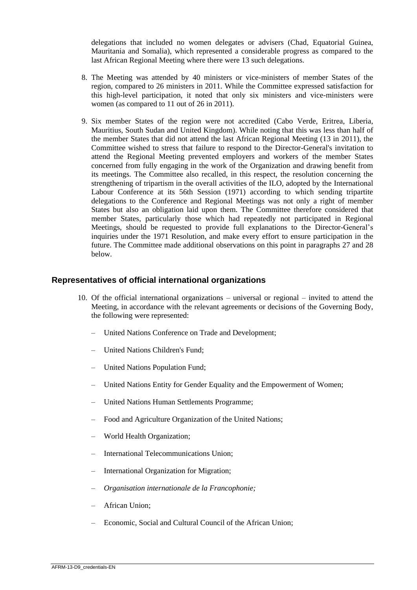delegations that included no women delegates or advisers (Chad, Equatorial Guinea, Mauritania and Somalia), which represented a considerable progress as compared to the last African Regional Meeting where there were 13 such delegations.

- 8. The Meeting was attended by 40 ministers or vice-ministers of member States of the region, compared to 26 ministers in 2011. While the Committee expressed satisfaction for this high-level participation, it noted that only six ministers and vice-ministers were women (as compared to 11 out of 26 in 2011).
- 9. Six member States of the region were not accredited (Cabo Verde, Eritrea, Liberia, Mauritius, South Sudan and United Kingdom). While noting that this was less than half of the member States that did not attend the last African Regional Meeting (13 in 2011), the Committee wished to stress that failure to respond to the Director-General's invitation to attend the Regional Meeting prevented employers and workers of the member States concerned from fully engaging in the work of the Organization and drawing benefit from its meetings. The Committee also recalled, in this respect, the resolution concerning the strengthening of tripartism in the overall activities of the ILO, adopted by the International Labour Conference at its 56th Session (1971) according to which sending tripartite delegations to the Conference and Regional Meetings was not only a right of member States but also an obligation laid upon them. The Committee therefore considered that member States, particularly those which had repeatedly not participated in Regional Meetings, should be requested to provide full explanations to the Director-General's inquiries under the 1971 Resolution, and make every effort to ensure participation in the future. The Committee made additional observations on this point in paragraphs 27 and 28 below.

#### **Representatives of official international organizations**

- 10. Of the official international organizations universal or regional invited to attend the Meeting, in accordance with the relevant agreements or decisions of the Governing Body, the following were represented:
	- United Nations Conference on Trade and Development;
	- United Nations Children's Fund;
	- United Nations Population Fund;
	- United Nations Entity for Gender Equality and the Empowerment of Women;
	- United Nations Human Settlements Programme;
	- Food and Agriculture Organization of the United Nations;
	- World Health Organization;
	- International Telecommunications Union;
	- International Organization for Migration;
	- *Organisation internationale de la Francophonie;*
	- African Union;
	- Economic, Social and Cultural Council of the African Union;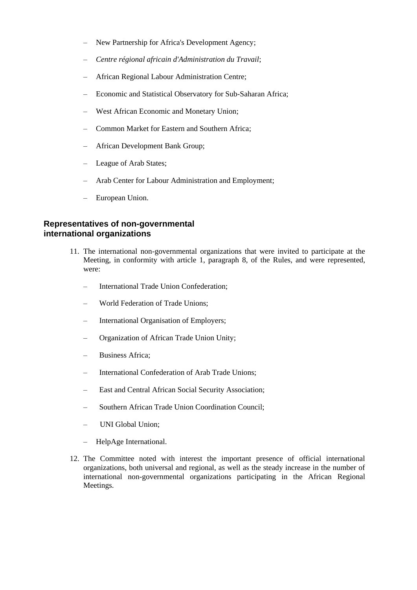- New Partnership for Africa's Development Agency;
- *Centre régional africain d'Administration du Travail*;
- African Regional Labour Administration Centre;
- Economic and Statistical Observatory for Sub-Saharan Africa;
- West African Economic and Monetary Union;
- Common Market for Eastern and Southern Africa;
- African Development Bank Group;
- League of Arab States;
- Arab Center for Labour Administration and Employment;
- European Union.

#### **Representatives of non-governmental international organizations**

- 11. The international non-governmental organizations that were invited to participate at the Meeting, in conformity with article 1, paragraph 8, of the Rules, and were represented, were:
	- International Trade Union Confederation;
	- World Federation of Trade Unions;
	- International Organisation of Employers;
	- Organization of African Trade Union Unity;
	- Business Africa;
	- International Confederation of Arab Trade Unions;
	- East and Central African Social Security Association;
	- Southern African Trade Union Coordination Council;
	- UNI Global Union;
	- HelpAge International.
- 12. The Committee noted with interest the important presence of official international organizations, both universal and regional, as well as the steady increase in the number of international non-governmental organizations participating in the African Regional Meetings.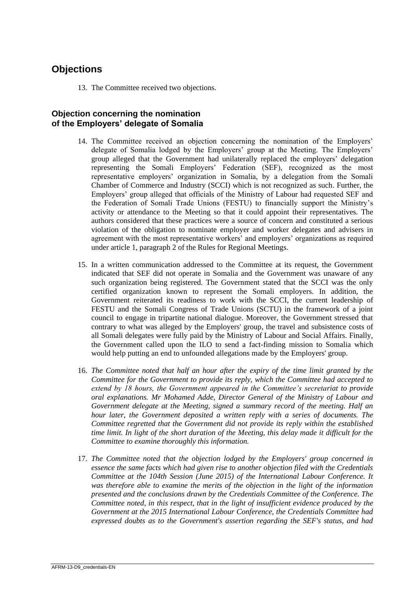### **Objections**

13. The Committee received two objections.

### **Objection concerning the nomination of the Employers' delegate of Somalia**

- 14. The Committee received an objection concerning the nomination of the Employers' delegate of Somalia lodged by the Employers' group at the Meeting. The Employers' group alleged that the Government had unilaterally replaced the employers' delegation representing the Somali Employers' Federation (SEF), recognized as the most representative employers' organization in Somalia, by a delegation from the Somali Chamber of Commerce and Industry (SCCI) which is not recognized as such. Further, the Employers' group alleged that officials of the Ministry of Labour had requested SEF and the Federation of Somali Trade Unions (FESTU) to financially support the Ministry's activity or attendance to the Meeting so that it could appoint their representatives. The authors considered that these practices were a source of concern and constituted a serious violation of the obligation to nominate employer and worker delegates and advisers in agreement with the most representative workers' and employers' organizations as required under article 1, paragraph 2 of the Rules for Regional Meetings.
- 15. In a written communication addressed to the Committee at its request, the Government indicated that SEF did not operate in Somalia and the Government was unaware of any such organization being registered. The Government stated that the SCCI was the only certified organization known to represent the Somali employers. In addition, the Government reiterated its readiness to work with the SCCI, the current leadership of FESTU and the Somali Congress of Trade Unions (SCTU) in the framework of a joint council to engage in tripartite national dialogue. Moreover, the Government stressed that contrary to what was alleged by the Employers' group, the travel and subsistence costs of all Somali delegates were fully paid by the Ministry of Labour and Social Affairs. Finally, the Government called upon the ILO to send a fact-finding mission to Somalia which would help putting an end to unfounded allegations made by the Employers' group.
- 16. *The Committee noted that half an hour after the expiry of the time limit granted by the Committee for the Government to provide its reply, which the Committee had accepted to extend by 18 hours, the Government appeared in the Committee's secretariat to provide oral explanations. Mr Mohamed Adde, Director General of the Ministry of Labour and Government delegate at the Meeting, signed a summary record of the meeting. Half an hour later, the Government deposited a written reply with a series of documents. The Committee regretted that the Government did not provide its reply within the established time limit. In light of the short duration of the Meeting, this delay made it difficult for the Committee to examine thoroughly this information.*
- 17. *The Committee noted that the objection lodged by the Employers' group concerned in essence the same facts which had given rise to another objection filed with the Credentials Committee at the 104th Session (June 2015) of the International Labour Conference. It was therefore able to examine the merits of the objection in the light of the information presented and the conclusions drawn by the Credentials Committee of the Conference. The Committee noted, in this respect, that in the light of insufficient evidence produced by the Government at the 2015 International Labour Conference, the Credentials Committee had expressed doubts as to the Government's assertion regarding the SEF's status, and had*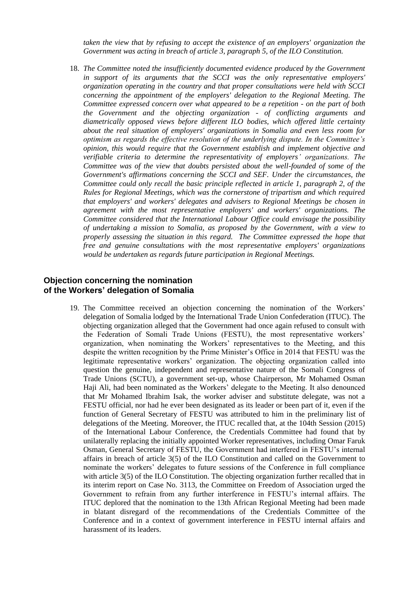*taken the view that by refusing to accept the existence of an employers' organization the Government was acting in breach of article 3, paragraph 5, of the ILO Constitution.*

18. *The Committee noted the insufficiently documented evidence produced by the Government in support of its arguments that the SCCI was the only representative employers' organization operating in the country and that proper consultations were held with SCCI concerning the appointment of the employers' delegation to the Regional Meeting. The Committee expressed concern over what appeared to be a repetition - on the part of both the Government and the objecting organization - of conflicting arguments and diametrically opposed views before different ILO bodies, which offered little certainty about the real situation of employers' organizations in Somalia and even less room for optimism as regards the effective resolution of the underlying dispute. In the Committee's opinion, this would require that the Government establish and implement objective and verifiable criteria to determine the representativity of employers' organizations. The Committee was of the view that doubts persisted about the well-founded of some of the Government's affirmations concerning the SCCI and SEF. Under the circumstances, the Committee could only recall the basic principle reflected in article 1, paragraph 2, of the Rules for Regional Meetings, which was the cornerstone of tripartism and which required that employers' and workers' delegates and advisers to Regional Meetings be chosen in agreement with the most representative employers' and workers' organizations. The Committee considered that the International Labour Office could envisage the possibility of undertaking a mission to Somalia, as proposed by the Government, with a view to properly assessing the situation in this regard. The Committee expressed the hope that free and genuine consultations with the most representative employers' organizations would be undertaken as regards future participation in Regional Meetings.*

#### **Objection concerning the nomination of the Workers' delegation of Somalia**

19. The Committee received an objection concerning the nomination of the Workers' delegation of Somalia lodged by the International Trade Union Confederation (ITUC). The objecting organization alleged that the Government had once again refused to consult with the Federation of Somali Trade Unions (FESTU), the most representative workers' organization, when nominating the Workers' representatives to the Meeting, and this despite the written recognition by the Prime Minister's Office in 2014 that FESTU was the legitimate representative workers' organization. The objecting organization called into question the genuine, independent and representative nature of the Somali Congress of Trade Unions (SCTU), a government set-up, whose Chairperson, Mr Mohamed Osman Haji Ali, had been nominated as the Workers' delegate to the Meeting. It also denounced that Mr Mohamed Ibrahim Isak, the worker adviser and substitute delegate, was not a FESTU official, nor had he ever been designated as its leader or been part of it, even if the function of General Secretary of FESTU was attributed to him in the preliminary list of delegations of the Meeting. Moreover, the ITUC recalled that, at the 104th Session (2015) of the International Labour Conference, the Credentials Committee had found that by unilaterally replacing the initially appointed Worker representatives, including Omar Faruk Osman, General Secretary of FESTU, the Government had interfered in FESTU's internal affairs in breach of article 3(5) of the ILO Constitution and called on the Government to nominate the workers' delegates to future sessions of the Conference in full compliance with article 3(5) of the ILO Constitution. The objecting organization further recalled that in its interim report on Case No. 3113, the Committee on Freedom of Association urged the Government to refrain from any further interference in FESTU's internal affairs. The ITUC deplored that the nomination to the 13th African Regional Meeting had been made in blatant disregard of the recommendations of the Credentials Committee of the Conference and in a context of government interference in FESTU internal affairs and harassment of its leaders.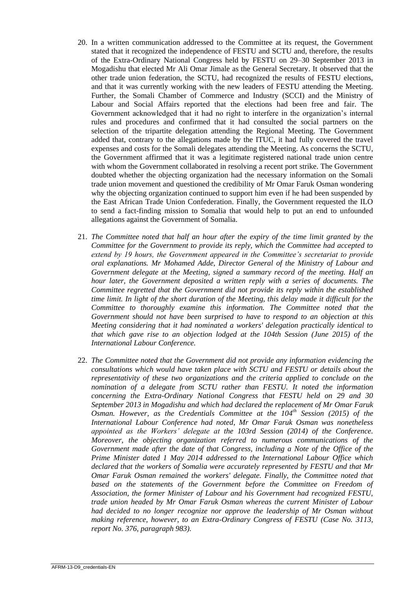- 20. In a written communication addressed to the Committee at its request, the Government stated that it recognized the independence of FESTU and SCTU and, therefore, the results of the Extra-Ordinary National Congress held by FESTU on 29–30 September 2013 in Mogadishu that elected Mr Ali Omar Jimale as the General Secretary. It observed that the other trade union federation, the SCTU, had recognized the results of FESTU elections, and that it was currently working with the new leaders of FESTU attending the Meeting. Further, the Somali Chamber of Commerce and Industry (SCCI) and the Ministry of Labour and Social Affairs reported that the elections had been free and fair. The Government acknowledged that it had no right to interfere in the organization's internal rules and procedures and confirmed that it had consulted the social partners on the selection of the tripartite delegation attending the Regional Meeting. The Government added that, contrary to the allegations made by the ITUC, it had fully covered the travel expenses and costs for the Somali delegates attending the Meeting. As concerns the SCTU, the Government affirmed that it was a legitimate registered national trade union centre with whom the Government collaborated in resolving a recent port strike. The Government doubted whether the objecting organization had the necessary information on the Somali trade union movement and questioned the credibility of Mr Omar Faruk Osman wondering why the objecting organization continued to support him even if he had been suspended by the East African Trade Union Confederation. Finally, the Government requested the ILO to send a fact-finding mission to Somalia that would help to put an end to unfounded allegations against the Government of Somalia.
- 21. *The Committee noted that half an hour after the expiry of the time limit granted by the Committee for the Government to provide its reply, which the Committee had accepted to extend by 19 hours, the Government appeared in the Committee's secretariat to provide oral explanations. Mr Mohamed Adde, Director General of the Ministry of Labour and Government delegate at the Meeting, signed a summary record of the meeting. Half an hour later, the Government deposited a written reply with a series of documents. The Committee regretted that the Government did not provide its reply within the established time limit. In light of the short duration of the Meeting, this delay made it difficult for the Committee to thoroughly examine this information. The Committee noted that the Government should not have been surprised to have to respond to an objection at this Meeting considering that it had nominated a workers' delegation practically identical to that which gave rise to an objection lodged at the 104th Session (June 2015) of the International Labour Conference.*
- 22. *The Committee noted that the Government did not provide any information evidencing the consultations which would have taken place with SCTU and FESTU or details about the representativity of these two organizations and the criteria applied to conclude on the nomination of a delegate from SCTU rather than FESTU. It noted the information concerning the Extra-Ordinary National Congress that FESTU held on 29 and 30 September 2013 in Mogadishu and which had declared the replacement of Mr Omar Faruk Osman. However, as the Credentials Committee at the 104th Session (2015) of the International Labour Conference had noted, Mr Omar Faruk Osman was nonetheless appointed as the Workers' delegate at the 103rd Session (2014) of the Conference. Moreover, the objecting organization referred to numerous communications of the Government made after the date of that Congress, including a Note of the Office of the Prime Minister dated 1 May 2014 addressed to the International Labour Office which declared that the workers of Somalia were accurately represented by FESTU and that Mr Omar Faruk Osman remained the workers' delegate. Finally, the Committee noted that*  based on the statements of the Government before the Committee on Freedom of *Association, the former Minister of Labour and his Government had recognized FESTU, trade union headed by Mr Omar Faruk Osman whereas the current Minister of Labour had decided to no longer recognize nor approve the leadership of Mr Osman without making reference, however, to an Extra-Ordinary Congress of FESTU (Case No. 3113, report No. 376, paragraph 983).*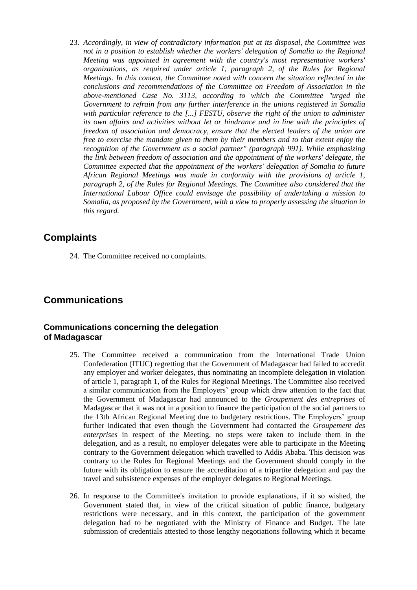23. *Accordingly, in view of contradictory information put at its disposal, the Committee was not in a position to establish whether the workers' delegation of Somalia to the Regional Meeting was appointed in agreement with the country's most representative workers' organizations, as required under article 1, paragraph 2, of the Rules for Regional Meetings. In this context, the Committee noted with concern the situation reflected in the conclusions and recommendations of the Committee on Freedom of Association in the above-mentioned Case No. 3113, according to which the Committee "urged the Government to refrain from any further interference in the unions registered in Somalia with particular reference to the [...] FESTU, observe the right of the union to administer its own affairs and activities without let or hindrance and in line with the principles of freedom of association and democracy, ensure that the elected leaders of the union are free to exercise the mandate given to them by their members and to that extent enjoy the recognition of the Government as a social partner" (paragraph 991). While emphasizing the link between freedom of association and the appointment of the workers' delegate, the Committee expected that the appointment of the workers' delegation of Somalia to future African Regional Meetings was made in conformity with the provisions of article 1, paragraph 2, of the Rules for Regional Meetings. The Committee also considered that the International Labour Office could envisage the possibility of undertaking a mission to Somalia, as proposed by the Government, with a view to properly assessing the situation in this regard.*

### **Complaints**

24. The Committee received no complaints.

### **Communications**

#### **Communications concerning the delegation of Madagascar**

- 25. The Committee received a communication from the International Trade Union Confederation (ITUC) regretting that the Government of Madagascar had failed to accredit any employer and worker delegates, thus nominating an incomplete delegation in violation of article 1, paragraph 1, of the Rules for Regional Meetings. The Committee also received a similar communication from the Employers' group which drew attention to the fact that the Government of Madagascar had announced to the *Groupement des entreprises* of Madagascar that it was not in a position to finance the participation of the social partners to the 13th African Regional Meeting due to budgetary restrictions. The Employers' group further indicated that even though the Government had contacted the *Groupement des enterprises* in respect of the Meeting, no steps were taken to include them in the delegation, and as a result, no employer delegates were able to participate in the Meeting contrary to the Government delegation which travelled to Addis Ababa. This decision was contrary to the Rules for Regional Meetings and the Government should comply in the future with its obligation to ensure the accreditation of a tripartite delegation and pay the travel and subsistence expenses of the employer delegates to Regional Meetings.
- 26. In response to the Committee's invitation to provide explanations, if it so wished, the Government stated that, in view of the critical situation of public finance, budgetary restrictions were necessary, and in this context, the participation of the government delegation had to be negotiated with the Ministry of Finance and Budget. The late submission of credentials attested to those lengthy negotiations following which it became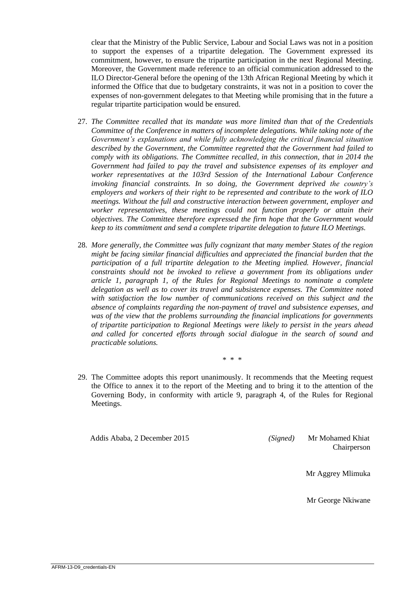clear that the Ministry of the Public Service, Labour and Social Laws was not in a position to support the expenses of a tripartite delegation. The Government expressed its commitment, however, to ensure the tripartite participation in the next Regional Meeting. Moreover, the Government made reference to an official communication addressed to the ILO Director-General before the opening of the 13th African Regional Meeting by which it informed the Office that due to budgetary constraints, it was not in a position to cover the expenses of non-government delegates to that Meeting while promising that in the future a regular tripartite participation would be ensured.

- 27. *The Committee recalled that its mandate was more limited than that of the Credentials Committee of the Conference in matters of incomplete delegations. While taking note of the Government's explanations and while fully acknowledging the critical financial situation described by the Government, the Committee regretted that the Government had failed to comply with its obligations. The Committee recalled, in this connection, that in 2014 the Government had failed to pay the travel and subsistence expenses of its employer and worker representatives at the 103rd Session of the International Labour Conference invoking financial constraints. In so doing, the Government deprived the country's employers and workers of their right to be represented and contribute to the work of ILO meetings. Without the full and constructive interaction between government, employer and worker representatives, these meetings could not function properly or attain their objectives. The Committee therefore expressed the firm hope that the Government would keep to its commitment and send a complete tripartite delegation to future ILO Meetings.*
- 28. *More generally, the Committee was fully cognizant that many member States of the region might be facing similar financial difficulties and appreciated the financial burden that the participation of a full tripartite delegation to the Meeting implied. However, financial constraints should not be invoked to relieve a government from its obligations under article 1, paragraph 1, of the Rules for Regional Meetings to nominate a complete delegation as well as to cover its travel and subsistence expenses. The Committee noted with satisfaction the low number of communications received on this subject and the absence of complaints regarding the non-payment of travel and subsistence expenses, and was of the view that the problems surrounding the financial implications for governments of tripartite participation to Regional Meetings were likely to persist in the years ahead and called for concerted efforts through social dialogue in the search of sound and practicable solutions.*
	- \* \* \*
- 29. The Committee adopts this report unanimously. It recommends that the Meeting request the Office to annex it to the report of the Meeting and to bring it to the attention of the Governing Body, in conformity with article 9, paragraph 4, of the Rules for Regional Meetings.

Addis Ababa, 2 December 2015 *(Signed)* Mr Mohamed Khiat Chairperson

Mr Aggrey Mlimuka

Mr George Nkiwane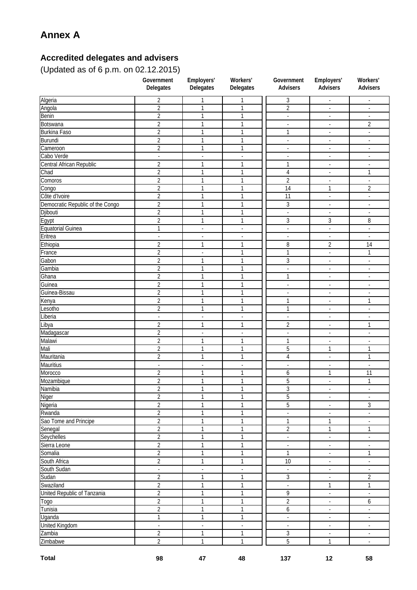## **Annex A**

## **Accredited delegates and advisers**

(Updated as of 6 p.m. on 02.12.2015)

|                                  | Government<br><b>Delegates</b> | Employers'<br>Delegates  | Workers'<br>Delegates    | Government<br>Advisers   | Employers'<br><b>Advisers</b> | Workers'<br>Advisers     |
|----------------------------------|--------------------------------|--------------------------|--------------------------|--------------------------|-------------------------------|--------------------------|
| Algeria                          | $\sqrt{2}$                     | 1                        | $\mathbf{1}$             | $\sqrt{3}$               | l,                            |                          |
| Angola                           | $\sqrt{2}$                     | 1                        | $\mathbf{1}$             | $\overline{2}$           | ä,                            | ä,                       |
| Benin                            | $\overline{2}$                 | 1                        | 1                        | $\overline{\phantom{a}}$ | $\overline{\phantom{a}}$      | $\overline{\phantom{a}}$ |
| <b>Botswana</b>                  | $\overline{2}$                 | 1                        | 1                        | $\blacksquare$           | $\overline{\phantom{a}}$      | $\overline{2}$           |
| Burkina Faso                     | $\overline{2}$                 | $\mathbf{1}$             | $\mathbf{1}$             | $\mathbf{1}$             | $\overline{\phantom{a}}$      | $\overline{\phantom{a}}$ |
| <b>Burundi</b>                   | $\overline{2}$                 | $\mathbf{1}$             | $\mathbf{1}$             | ÷,                       | $\blacksquare$                | $\overline{\phantom{a}}$ |
| Cameroon                         | $\overline{2}$                 | $\mathbf{1}$             | $\mathbf{1}$             |                          | ÷,                            | ÷.                       |
| Cabo Verde                       | ÷,                             | $\overline{\phantom{a}}$ | ÷.                       |                          | ÷,                            | $\overline{\phantom{a}}$ |
| Central African Republic         | $\overline{2}$                 | $\mathbf{1}$             | $\mathbf{1}$             | 1                        | J.                            | $\overline{\phantom{a}}$ |
| Chad                             | $\overline{2}$                 | 1                        | $\mathbf{1}$             | $\overline{4}$           | $\overline{\phantom{a}}$      | $\mathbf{1}$             |
| Comoros                          | $\sqrt{2}$                     | 1                        | $\mathbf{1}$             | $\overline{2}$           | $\overline{a}$                | $\blacksquare$           |
| Congo                            | $\overline{2}$                 | 1                        | $\mathbf{1}$             | 14                       | $\mathbf{1}$                  | $\overline{2}$           |
| Côte d'Ivoire                    | $\sqrt{2}$                     | $\mathbf{1}$             | $\mathbf{1}$             | $\overline{11}$          | ÷,                            | $\blacksquare$           |
| Democratic Republic of the Congo | $\overline{2}$                 | $\mathbf{1}$             | 1                        | $\mathfrak{Z}$           | ÷,                            | $\overline{\phantom{a}}$ |
| Djibouti                         | $\overline{2}$                 | $\mathbf{1}$             | $\mathbf{1}$             | $\overline{\phantom{a}}$ | $\overline{\phantom{a}}$      | ÷.                       |
| Egypt                            | $\overline{2}$                 | $\mathbf{1}$             | $\mathbf{1}$             | $\mathfrak{Z}$           | $\sqrt{3}$                    | 8                        |
| <b>Equatorial Guinea</b>         | $\mathbf{1}$                   | $\overline{\phantom{a}}$ | $\overline{\phantom{a}}$ | $\blacksquare$           | $\blacksquare$                | $\Box$                   |
| Eritrea                          | ÷,                             | ÷,                       | $\overline{\phantom{a}}$ | ×,                       | J.                            | ä,                       |
| Ethiopia                         | $\overline{2}$                 | $\mathbf{1}$             | $\mathbf{1}$             | $\, 8$                   | $\overline{2}$                | 14                       |
| France                           | $\overline{2}$                 | ä,                       | $\mathbf{1}$             | $\mathbf{1}$             | $\overline{\phantom{a}}$      | $\mathbf{1}$             |
| Gabon                            | $\sqrt{2}$                     | 1                        | $\mathbf{1}$             | 3                        | $\blacksquare$                | $\overline{\phantom{a}}$ |
| Gambia                           | $\sqrt{2}$                     | 1                        | 1                        | $\overline{\phantom{a}}$ | $\overline{\phantom{a}}$      | $\overline{\phantom{a}}$ |
| Ghana                            | $\overline{2}$                 | $\mathbf{1}$             | $\mathbf{1}$             | $\mathbf{1}$             | $\overline{\phantom{a}}$      | $\frac{1}{2}$            |
| Guinea                           | $\sqrt{2}$                     | 1                        | $\mathbf{1}$             | ÷,                       | ÷,                            | $\overline{\phantom{a}}$ |
| Guinea-Bissau                    |                                | $\mathbf{1}$             | $\mathbf{1}$             |                          |                               |                          |
|                                  | $\overline{2}$                 |                          | $\mathbf{1}$             | ×,<br>$\mathbf{1}$       | J.                            | ÷,                       |
| Kenya                            | $\overline{2}$                 | $\mathbf{1}$             |                          |                          | $\overline{\phantom{a}}$      | 1                        |
| Lesotho                          | $\overline{2}$                 | 1                        | $\mathbf{1}$             | $\mathbf{1}$             | $\overline{\phantom{a}}$      | $\overline{\phantom{a}}$ |
| Liberia                          | $\overline{\phantom{a}}$       | $\overline{\phantom{a}}$ | ä,                       | ÷,                       | ÷,                            | $\overline{\phantom{a}}$ |
| Libya                            | $\sqrt{2}$                     | $\mathbf{1}$             | $\mathbf{1}$             | $\overline{2}$           | ä,                            | 1                        |
| Madagascar                       | $\overline{2}$                 | ä,                       | $\overline{\phantom{a}}$ | $\overline{\phantom{a}}$ | ÷,                            | $\overline{\phantom{a}}$ |
| Malawi                           | $\overline{2}$                 | $\mathbf{1}$             | $\mathbf{1}$             | $\mathbf{1}$             | ÷,                            | $\overline{\phantom{a}}$ |
| Mali                             | $\overline{2}$                 | 1                        | $\mathbf{1}$             | $\overline{5}$           | $\mathbf{1}$                  | 1                        |
| Mauritania                       | $\overline{2}$                 | 1                        | $\mathbf{1}$             | 4                        | $\overline{\phantom{a}}$      | $\mathbf{1}$             |
| Mauritius                        | $\overline{\phantom{a}}$       | $\Box$                   | ä,                       | $\overline{\phantom{a}}$ | ä,                            | $\overline{a}$           |
| Morocco                          | $\overline{2}$                 | 1                        | 1                        | 6                        | $\mathbf{1}$                  | 11                       |
| Mozambique                       | $\overline{2}$                 | $\mathbf{1}$             | 1                        | 5                        | ÷,                            | 1                        |
| Namibia                          | $\overline{2}$                 | 1                        | $\mathbf{1}$             | $\overline{3}$           | $\overline{\phantom{a}}$      | $\overline{\phantom{a}}$ |
| Niger                            | $\sqrt{2}$                     | 1                        | $\mathbf{1}$             | $\overline{5}$           | $\overline{\phantom{a}}$      | $\overline{\phantom{a}}$ |
| Nigeria                          | $\overline{2}$                 | 1                        | $\mathbf{1}$             | $\overline{5}$           | $\overline{\phantom{a}}$      | 3                        |
| Rwanda                           | $\overline{2}$                 | $\mathbf{1}$             | $\mathbf{1}$             | ÷.                       | $\blacksquare$                | ä,                       |
| Sao Tome and Principe            | $\overline{2}$                 | $\mathbf{1}$             | $\mathbf{1}$             | $\mathbf{1}$             | $\mathbf{1}$                  | $\overline{\phantom{a}}$ |
| Senegal                          | $\overline{2}$                 | $\mathbf{1}$             | $\mathbf{1}$             | $\overline{2}$           | $\mathbf{1}$                  | $\mathbf{1}$             |
| Seychelles                       | $\overline{2}$                 | $\mathbf{1}$             | $\mathbf{1}$             | ÷.                       | $\overline{\phantom{a}}$      | $\overline{\phantom{a}}$ |
| Sierra Leone                     | $\overline{2}$                 | $\mathbf{1}$             | $\mathbf{1}$             | $\blacksquare$           | $\blacksquare$                | $\overline{\phantom{a}}$ |
| Somalia                          | $\overline{2}$                 | $\mathbf{1}$             | $\overline{1}$           | $\mathbf{1}$             | ÷,                            | $\mathbf{1}$             |
| South Africa                     | $\sqrt{2}$                     | $\mathbf{1}$             | $\mathbf{1}$             | 10                       | $\blacksquare$                | $\overline{\phantom{a}}$ |
| South Sudan                      | $\frac{1}{2}$                  | ä,                       | ÷,                       | ÷.                       | ÷,                            | ÷.                       |
| Sudan                            | $\overline{2}$                 | 1                        | $\mathbf{1}$             | $\overline{3}$           | $\blacksquare$                | $\overline{2}$           |
| Swaziland                        | $\sqrt{2}$                     | $\mathbf{1}$             | $\mathbf{1}$             | $\overline{\phantom{a}}$ | 1                             | $\mathbf{1}$             |
| United Republic of Tanzania      | $\overline{2}$                 | $\mathbf{1}$             | $\mathbf{1}$             | $\overline{9}$           | $\Box$                        | ä,                       |
| Togo                             | $\overline{2}$                 | $\mathbf{1}$             | $\mathbf{1}$             | $\overline{2}$           | L.                            | 6                        |
| Tunisia                          | $\overline{2}$                 | $\mathbf{1}$             | $\mathbf{1}$             | $\overline{6}$           | $\blacksquare$                | $\overline{\phantom{a}}$ |
| Uganda                           | $\mathbf{1}$                   | $\mathbf{1}$             | $\mathbf{1}$             | ä,                       | $\overline{\phantom{a}}$      | $\overline{\phantom{a}}$ |
| <b>United Kingdom</b>            | ä,                             | $\blacksquare$           | $\blacksquare$           | ÷,                       | $\blacksquare$                | $\sim$                   |
| Zambia                           | $\sqrt{2}$                     | 1                        | $\mathbf{1}$             | $\mathfrak{Z}$           | $\overline{\phantom{a}}$      | $\overline{\phantom{a}}$ |
| Zimbabwe                         | $\overline{2}$                 | $\mathbf{1}$             | $\overline{1}$           | $\overline{5}$           | $\mathbf{1}$                  | ÷.                       |
|                                  |                                |                          |                          |                          |                               |                          |